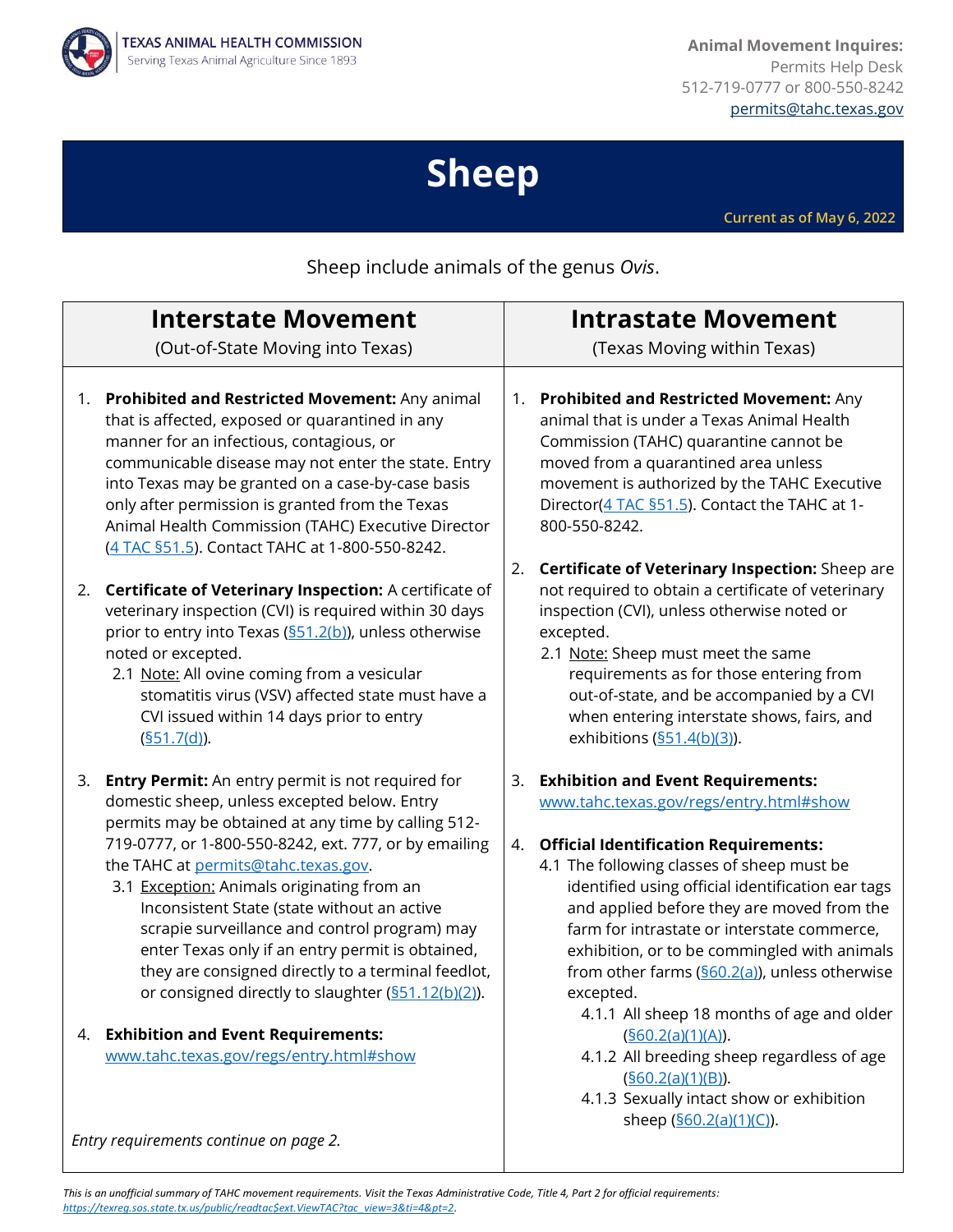

**Animal Movement Inquires:** Permits Help Desk 512-719-0777 or 800-550-8242 [permits@tahc.texas.gov](mailto:permits@tahc.texas.gov)

# **Sheep**

**Current as of May 6, 2022**

Sheep include animals of the genus *Ovis*.

| <b>Interstate Movement</b> |                                                                                                                                                                                                                                                                                                                                                                                                                                                                                                                                                                               | <b>Intrastate Movement</b> |                                                                                                                                                                                                                                                                                                                                                                                                                                                       |
|----------------------------|-------------------------------------------------------------------------------------------------------------------------------------------------------------------------------------------------------------------------------------------------------------------------------------------------------------------------------------------------------------------------------------------------------------------------------------------------------------------------------------------------------------------------------------------------------------------------------|----------------------------|-------------------------------------------------------------------------------------------------------------------------------------------------------------------------------------------------------------------------------------------------------------------------------------------------------------------------------------------------------------------------------------------------------------------------------------------------------|
|                            | (Out-of-State Moving into Texas)                                                                                                                                                                                                                                                                                                                                                                                                                                                                                                                                              |                            | (Texas Moving within Texas)                                                                                                                                                                                                                                                                                                                                                                                                                           |
|                            |                                                                                                                                                                                                                                                                                                                                                                                                                                                                                                                                                                               |                            |                                                                                                                                                                                                                                                                                                                                                                                                                                                       |
|                            | 1. Prohibited and Restricted Movement: Any animal<br>that is affected, exposed or quarantined in any<br>manner for an infectious, contagious, or<br>communicable disease may not enter the state. Entry<br>into Texas may be granted on a case-by-case basis<br>only after permission is granted from the Texas<br>Animal Health Commission (TAHC) Executive Director<br>(4 TAC §51.5). Contact TAHC at 1-800-550-8242.                                                                                                                                                       | 1.                         | Prohibited and Restricted Movement: Any<br>animal that is under a Texas Animal Health<br>Commission (TAHC) quarantine cannot be<br>moved from a quarantined area unless<br>movement is authorized by the TAHC Executive<br>Director(4 TAC §51.5). Contact the TAHC at 1-<br>800-550-8242.                                                                                                                                                             |
|                            | 2. Certificate of Veterinary Inspection: A certificate of<br>veterinary inspection (CVI) is required within 30 days<br>prior to entry into Texas (§51.2(b)), unless otherwise<br>noted or excepted.<br>2.1 Note: All ovine coming from a vesicular<br>stomatitis virus (VSV) affected state must have a<br>CVI issued within 14 days prior to entry<br>(§51.7(d)).                                                                                                                                                                                                            | 2.                         | Certificate of Veterinary Inspection: Sheep are<br>not required to obtain a certificate of veterinary<br>inspection (CVI), unless otherwise noted or<br>excepted.<br>2.1 Note: Sheep must meet the same<br>requirements as for those entering from<br>out-of-state, and be accompanied by a CVI<br>when entering interstate shows, fairs, and<br>exhibitions $(\underline{\$51.4(b)(3)})$ .                                                           |
| 3.                         | <b>Entry Permit:</b> An entry permit is not required for<br>domestic sheep, unless excepted below. Entry<br>permits may be obtained at any time by calling 512-<br>719-0777, or 1-800-550-8242, ext. 777, or by emailing<br>the TAHC at permits@tahc.texas.gov.<br>3.1 Exception: Animals originating from an<br>Inconsistent State (state without an active<br>scrapie surveillance and control program) may<br>enter Texas only if an entry permit is obtained,<br>they are consigned directly to a terminal feedlot,<br>or consigned directly to slaughter (S51.12(b)(2)). | 3.<br>4.                   | <b>Exhibition and Event Requirements:</b><br>www.tahc.texas.gov/regs/entry.html#show<br><b>Official Identification Requirements:</b><br>4.1 The following classes of sheep must be<br>identified using official identification ear tags<br>and applied before they are moved from the<br>farm for intrastate or interstate commerce,<br>exhibition, or to be commingled with animals<br>from other farms $(S60.2(a))$ , unless otherwise<br>excepted. |
|                            | 4. Exhibition and Event Requirements:<br>www.tahc.texas.gov/regs/entry.html#show                                                                                                                                                                                                                                                                                                                                                                                                                                                                                              |                            | 4.1.1 All sheep 18 months of age and older<br>(§60.2(a)(1)(A)).<br>4.1.2 All breeding sheep regardless of age<br>(§60.2(a)(1)(B)).<br>4.1.3 Sexually intact show or exhibition<br>sheep (\$60.2(a)(1)(C)).                                                                                                                                                                                                                                            |

*Entry requirements continue on page 2.*

*This is an unofficial summary of TAHC movement requirements. Visit the Texas Administrative Code, Title 4, Part 2 for official requirements: [https://texreg.sos.state.tx.us/public/readtac\\$ext.ViewTAC?tac\\_view=3&ti=4&pt=2.](https://texreg.sos.state.tx.us/public/readtac$ext.ViewTAC?tac_view=3&ti=4&pt=2)*